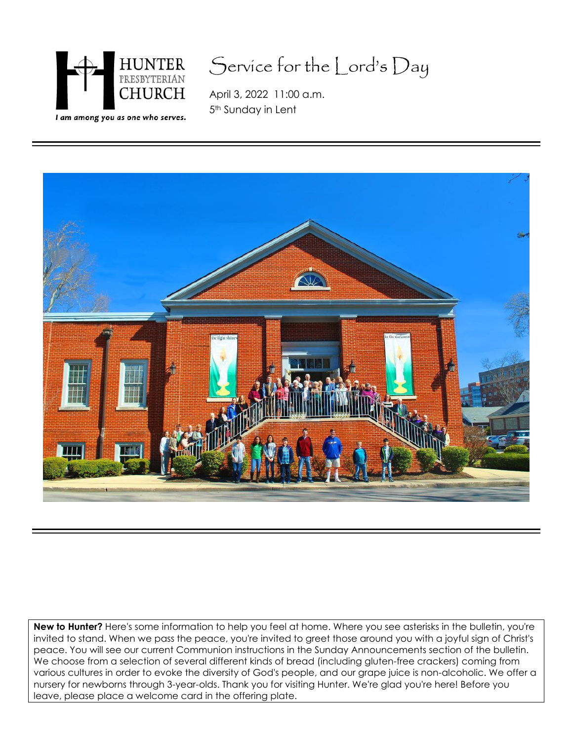

## Service for the Lord's Day

April 3, 2022 11:00 a.m. 5<sup>th</sup> Sunday in Lent



**New to Hunter?** Here's some information to help you feel at home. Where you see asterisks in the bulletin, you're invited to stand. When we pass the peace, you're invited to greet those around you with a joyful sign of Christ's peace. You will see our current Communion instructions in the Sunday Announcements section of the bulletin. We choose from a selection of several different kinds of bread (including gluten-free crackers) coming from various cultures in order to evoke the diversity of God's people, and our grape juice is non-alcoholic. We offer a nursery for newborns through 3-year-olds. Thank you for visiting Hunter. We're glad you're here! Before you leave, please place a welcome card in the offering plate.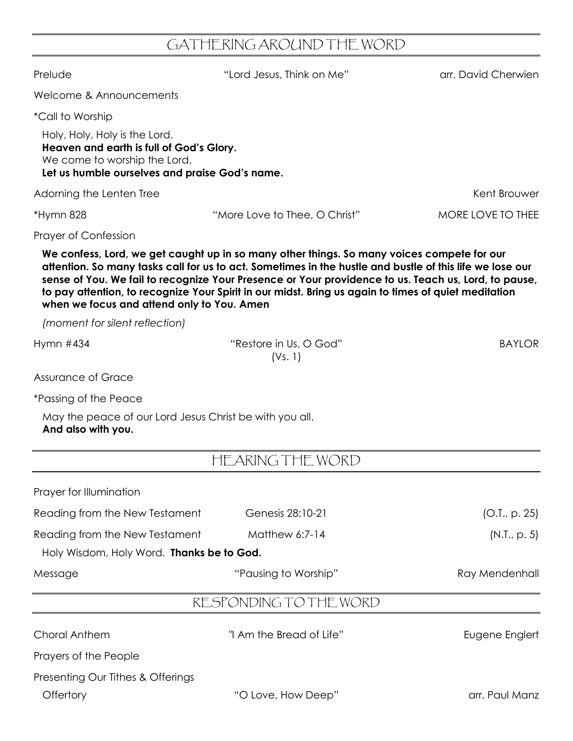## GATHERING AROUND THE WORD

| Prelude                                                                                                                                                     | "Lord Jesus, Think on Me"                                                                                                                                                                                                                                                                                                                                                                                              | arr. David Cherwien |
|-------------------------------------------------------------------------------------------------------------------------------------------------------------|------------------------------------------------------------------------------------------------------------------------------------------------------------------------------------------------------------------------------------------------------------------------------------------------------------------------------------------------------------------------------------------------------------------------|---------------------|
| Welcome & Announcements                                                                                                                                     |                                                                                                                                                                                                                                                                                                                                                                                                                        |                     |
| <i>*Call to Worship</i>                                                                                                                                     |                                                                                                                                                                                                                                                                                                                                                                                                                        |                     |
| Holy, Holy, Holy is the Lord.<br>Heaven and earth is full of God's Glory.<br>We come to worship the Lord.<br>Let us humble ourselves and praise God's name. |                                                                                                                                                                                                                                                                                                                                                                                                                        |                     |
| Adorning the Lenten Tree                                                                                                                                    |                                                                                                                                                                                                                                                                                                                                                                                                                        | Kent Brouwer        |
| *Hymn 828                                                                                                                                                   | "More Love to Thee, O Christ"                                                                                                                                                                                                                                                                                                                                                                                          | MORE LOVE TO THEE   |
| <b>Prayer of Confession</b>                                                                                                                                 |                                                                                                                                                                                                                                                                                                                                                                                                                        |                     |
| when we focus and attend only to You. Amen                                                                                                                  | We confess, Lord, we get caught up in so many other things. So many voices compete for our<br>attention. So many tasks call for us to act. Sometimes in the hustle and bustle of this life we lose our<br>sense of You. We fail to recognize Your Presence or Your providence to us. Teach us, Lord, to pause,<br>to pay attention, to recognize Your Spirit in our midst. Bring us again to times of quiet meditation |                     |
| (moment for silent reflection)                                                                                                                              |                                                                                                                                                                                                                                                                                                                                                                                                                        |                     |
| Hymn $#434$                                                                                                                                                 | "Restore in Us, O God"<br>(Vs. 1)                                                                                                                                                                                                                                                                                                                                                                                      | <b>BAYLOR</b>       |
| Assurance of Grace                                                                                                                                          |                                                                                                                                                                                                                                                                                                                                                                                                                        |                     |
| <i>*Passing of the Peace</i>                                                                                                                                |                                                                                                                                                                                                                                                                                                                                                                                                                        |                     |
| May the peace of our Lord Jesus Christ be with you all.<br>And also with you.                                                                               |                                                                                                                                                                                                                                                                                                                                                                                                                        |                     |
|                                                                                                                                                             | HEARING THE WORD                                                                                                                                                                                                                                                                                                                                                                                                       |                     |
| Prayer for Illumination                                                                                                                                     |                                                                                                                                                                                                                                                                                                                                                                                                                        |                     |
| Reading from the New Testament                                                                                                                              | Genesis 28:10-21                                                                                                                                                                                                                                                                                                                                                                                                       | (O.I., p. 25)       |
| Reading from the New Testament                                                                                                                              | Matthew 6:7-14                                                                                                                                                                                                                                                                                                                                                                                                         | (N.I., p. 5)        |
| Holy Wisdom, Holy Word. Thanks be to God.                                                                                                                   |                                                                                                                                                                                                                                                                                                                                                                                                                        |                     |
| Message                                                                                                                                                     | "Pausing to Worship"                                                                                                                                                                                                                                                                                                                                                                                                   | Ray Mendenhall      |
|                                                                                                                                                             | RESPONDING TO THE WORD                                                                                                                                                                                                                                                                                                                                                                                                 |                     |
| <b>Choral Anthem</b>                                                                                                                                        | "I Am the Bread of Life"                                                                                                                                                                                                                                                                                                                                                                                               | Eugene Englert      |
| Prayers of the People                                                                                                                                       |                                                                                                                                                                                                                                                                                                                                                                                                                        |                     |
| Presenting Our Tithes & Offerings<br>Offertory                                                                                                              | "O Love, How Deep"                                                                                                                                                                                                                                                                                                                                                                                                     | arr. Paul Manz      |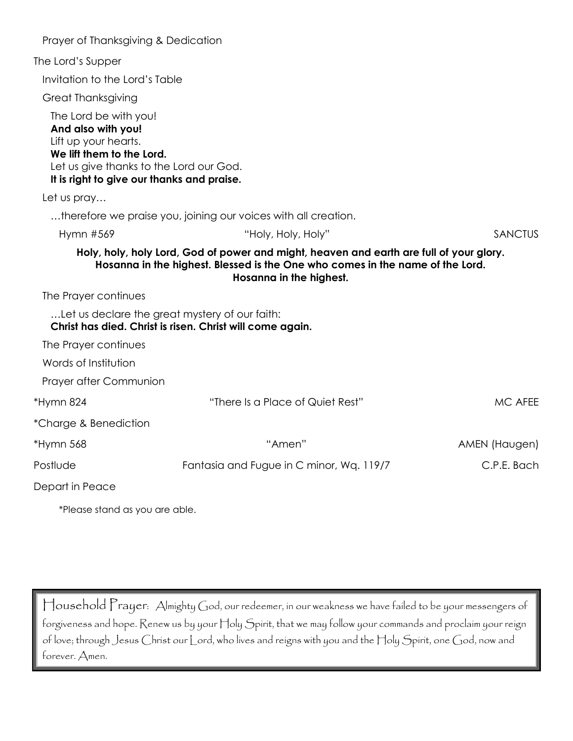| Prayer of Thanksgiving & Dedication                                                                                                                                                       |                                                                                                                                                                                                     |                |
|-------------------------------------------------------------------------------------------------------------------------------------------------------------------------------------------|-----------------------------------------------------------------------------------------------------------------------------------------------------------------------------------------------------|----------------|
| The Lord's Supper                                                                                                                                                                         |                                                                                                                                                                                                     |                |
| Invitation to the Lord's Table                                                                                                                                                            |                                                                                                                                                                                                     |                |
| <b>Great Thanksgiving</b>                                                                                                                                                                 |                                                                                                                                                                                                     |                |
| The Lord be with you!<br>And also with you!<br>Lift up your hearts.<br>We lift them to the Lord.<br>Let us give thanks to the Lord our God.<br>It is right to give our thanks and praise. |                                                                                                                                                                                                     |                |
| Let us pray                                                                                                                                                                               |                                                                                                                                                                                                     |                |
|                                                                                                                                                                                           | therefore we praise you, joining our voices with all creation.                                                                                                                                      |                |
| Hymn #569                                                                                                                                                                                 | "Holy, Holy, Holy"                                                                                                                                                                                  | <b>SANCTUS</b> |
|                                                                                                                                                                                           | Holy, holy, holy Lord, God of power and might, heaven and earth are full of your glory.<br>Hosanna in the highest. Blessed is the One who comes in the name of the Lord.<br>Hosanna in the highest. |                |
| The Prayer continues                                                                                                                                                                      |                                                                                                                                                                                                     |                |
|                                                                                                                                                                                           | Let us declare the great mystery of our faith:<br>Christ has died. Christ is risen. Christ will come again.                                                                                         |                |
| The Prayer continues                                                                                                                                                                      |                                                                                                                                                                                                     |                |
| Words of Institution                                                                                                                                                                      |                                                                                                                                                                                                     |                |
| Prayer after Communion                                                                                                                                                                    |                                                                                                                                                                                                     |                |
| *Hymn 824                                                                                                                                                                                 | "There Is a Place of Quiet Rest"                                                                                                                                                                    | MC AFEE        |
| *Charge & Benediction                                                                                                                                                                     |                                                                                                                                                                                                     |                |
| *Hymn 568                                                                                                                                                                                 | "Amen"                                                                                                                                                                                              | AMEN (Haugen)  |
| Postlude                                                                                                                                                                                  | Fantasia and Fugue in C minor, Wq. 119/7                                                                                                                                                            | C.P.E. Bach    |
| Depart in Peace                                                                                                                                                                           |                                                                                                                                                                                                     |                |
|                                                                                                                                                                                           |                                                                                                                                                                                                     |                |

\*Please stand as you are able.

Household Prayer: Almighty God, our redeemer, in our weakness we have failed to be your messengers of forgiveness and hope. Renew us by your Holy Spirit, that we may follow your commands and proclaim your reign of love; through Jesus Christ our Lord, who lives and reigns with you and the Holy Spirit, one God, now and forever. Amen.